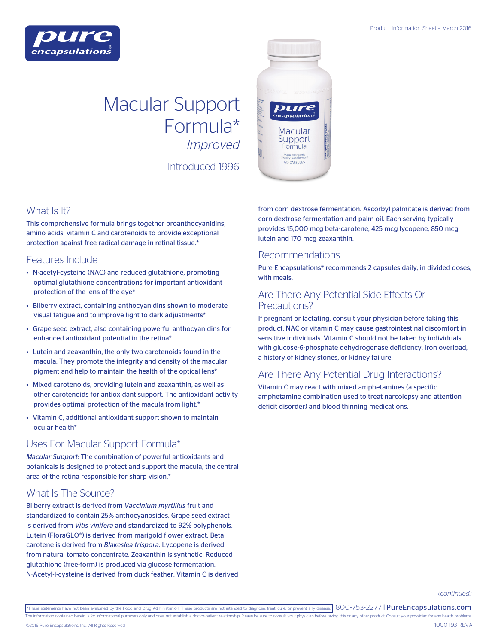

# Macular Support Formula\* *Improved*

Introduced 1996



This comprehensive formula brings together proanthocyanidins, amino acids, vitamin C and carotenoids to provide exceptional protection against free radical damage in retinal tissue.\*

#### Features Include

- N-acetyl-cysteine (NAC) and reduced glutathione, promoting optimal glutathione concentrations for important antioxidant protection of the lens of the eye\*
- Bilberry extract, containing anthocyanidins shown to moderate visual fatigue and to improve light to dark adjustments\*
- Grape seed extract, also containing powerful anthocyanidins for enhanced antioxidant potential in the retina\*
- Lutein and zeaxanthin, the only two carotenoids found in the macula. They promote the integrity and density of the macular pigment and help to maintain the health of the optical lens\*
- Mixed carotenoids, providing lutein and zeaxanthin, as well as other carotenoids for antioxidant support. The antioxidant activity provides optimal protection of the macula from light.\*
- Vitamin C, additional antioxidant support shown to maintain ocular health\*

## Uses For Macular Support Formula\*

*Macular Support:* The combination of powerful antioxidants and botanicals is designed to protect and support the macula, the central area of the retina responsible for sharp vision.\*

## What Is The Source?

Bilberry extract is derived from *Vaccinium myrtillus* fruit and standardized to contain 25% anthocyanosides. Grape seed extract is derived from *Vitis vinifera* and standardized to 92% polyphenols. Lutein (FloraGLO®) is derived from marigold flower extract. Beta carotene is derived from *Blakeslea trispora*. Lycopene is derived from natural tomato concentrate. Zeaxanthin is synthetic. Reduced glutathione (free-form) is produced via glucose fermentation. N-Acetyl-l-cysteine is derived from duck feather. Vitamin C is derived from corn dextrose fermentation. Ascorbyl palmitate is derived from corn dextrose fermentation and palm oil. Each serving typically provides 15,000 mcg beta-carotene, 425 mcg lycopene, 850 mcg lutein and 170 mcg zeaxanthin.

#### Recommendations

ومنعصات

**Macular** Support ormula allergenic

Pure Encapsulations® recommends 2 capsules daily, in divided doses, with meals.

#### Are There Any Potential Side Effects Or Precautions?

If pregnant or lactating, consult your physician before taking this product. NAC or vitamin C may cause gastrointestinal discomfort in sensitive individuals. Vitamin C should not be taken by individuals with glucose-6-phosphate dehydrogenase deficiency, iron overload, a history of kidney stones, or kidney failure.

## Are There Any Potential Drug Interactions?

Vitamin C may react with mixed amphetamines (a specific amphetamine combination used to treat narcolepsy and attention deficit disorder) and blood thinning medications.

*(continued)*